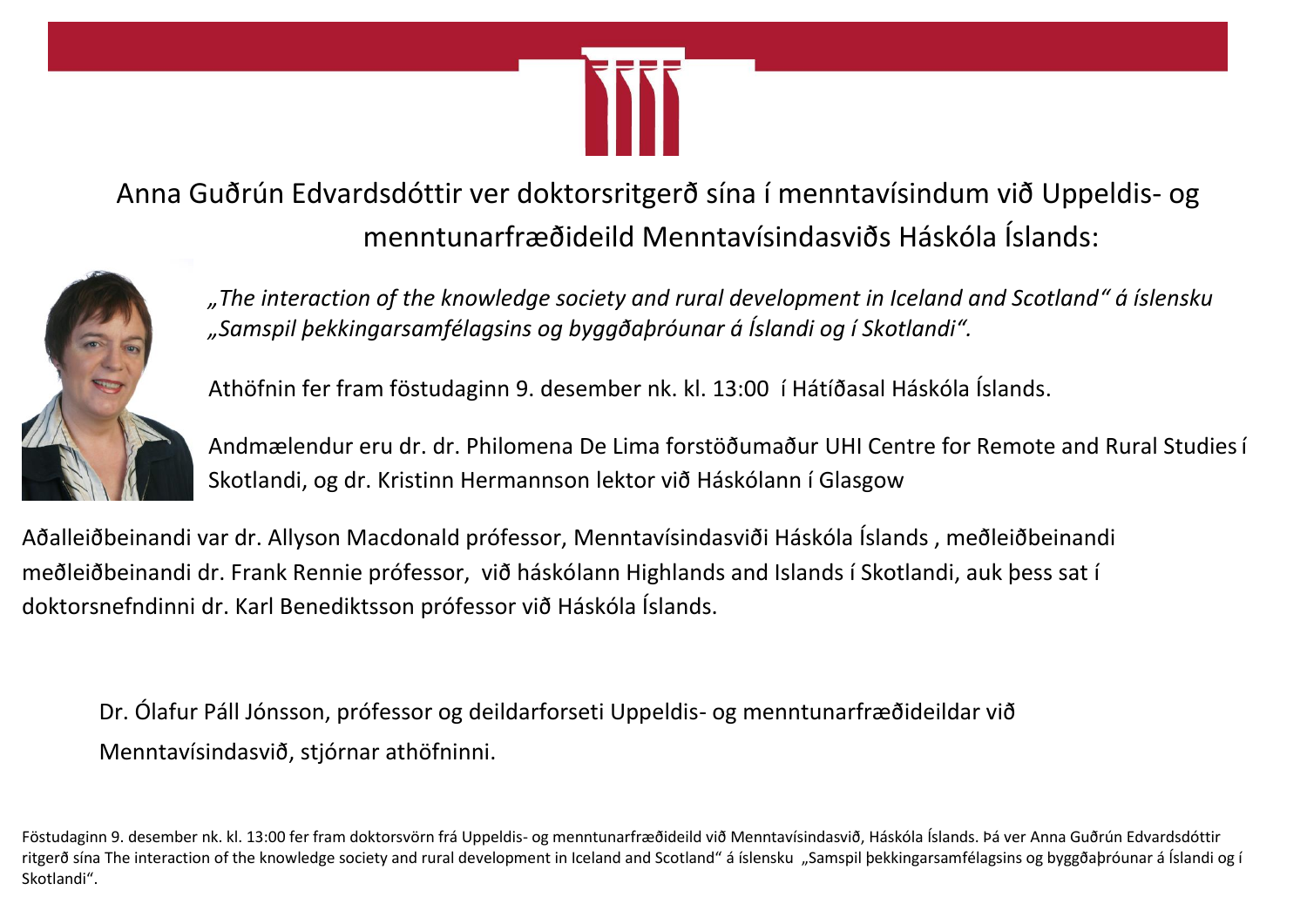

Anna Guðrún Edvardsdóttir ver doktorsritgerð sína í menntavísindum við Uppeldis- og menntunarfræðideild Menntavísindasviðs Háskóla Íslands:



*"The interaction of the knowledge society and rural development in Iceland and Scotland" á íslensku "Samspil þekkingarsamfélagsins og byggðaþróunar á Íslandi og í Skotlandi".*

Athöfnin fer fram föstudaginn 9. desember nk. kl. 13:00 í Hátíðasal Háskóla Íslands.

Andmælendur eru dr. dr. Philomena De Lima forstöðumaður UHI Centre for Remote and Rural Studiesí Skotlandi, og dr. Kristinn Hermannson lektor við Háskólann í Glasgow

Aðalleiðbeinandi var dr. Allyson Macdonald prófessor, Menntavísindasviði Háskóla Íslands , meðleiðbeinandi meðleiðbeinandi dr. Frank Rennie prófessor, við háskólann Highlands and Islands í Skotlandi, auk þess sat í doktorsnefndinni dr. Karl Benediktsson prófessor við Háskóla Íslands.

Dr. Ólafur Páll Jónsson, prófessor og deildarforseti Uppeldis- og menntunarfræðideildar við Menntavísindasvið, stjórnar athöfninni.

Föstudaginn 9. desember nk. kl. 13:00 fer fram doktorsvörn frá Uppeldis- og menntunarfræðideild við Menntavísindasvið, Háskóla Íslands. Þá ver Anna Guðrún Edvardsdóttir ritgerð sína The interaction of the knowledge society and rural development in Iceland and Scotland" á íslensku "Samspil þekkingarsamfélagsins og byggðaþróunar á Íslandi og í Skotlandi".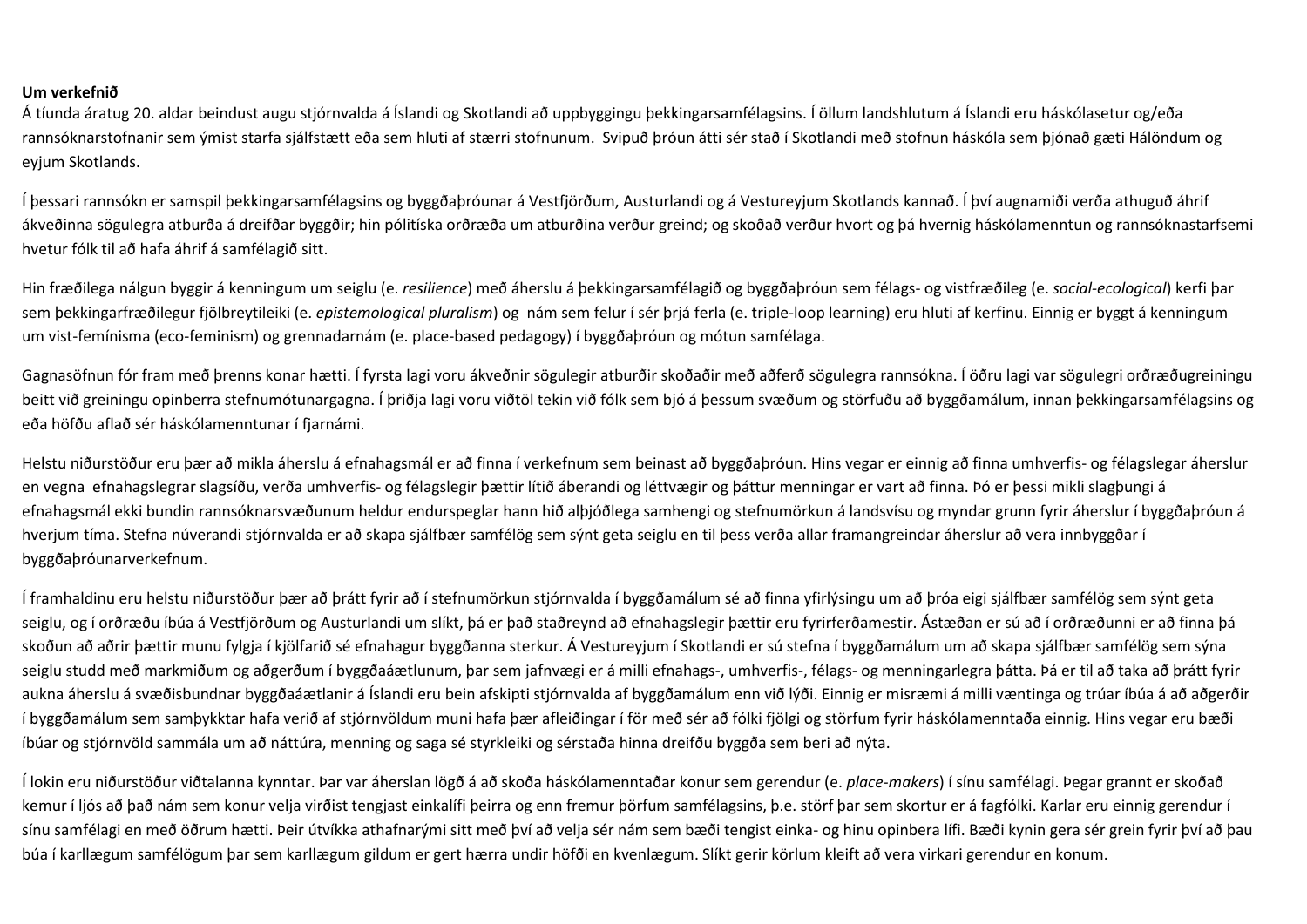## **Um verkefnið**

Á tíunda áratug 20. aldar beindust augu stjórnvalda á Íslandi og Skotlandi að uppbyggingu þekkingarsamfélagsins. Í öllum landshlutum á Íslandi eru háskólasetur og/eða rannsóknarstofnanir sem ýmist starfa sjálfstætt eða sem hluti af stærri stofnunum. Svipuð þróun átti sér stað í Skotlandi með stofnun háskóla sem þjónað gæti Hálöndum og eyjum Skotlands.

Í þessari rannsókn er samspil þekkingarsamfélagsins og byggðaþróunar á Vestfjörðum, Austurlandi og á Vestureyjum Skotlands kannað. Í því augnamiði verða athuguð áhrif ákveðinna sögulegra atburða á dreifðar byggðir; hin pólitíska orðræða um atburðina verður greind; og skoðað verður hvort og þá hvernig háskólamenntun og rannsóknastarfsemi hvetur fólk til að hafa áhrif á samfélagið sitt.

Hin fræðilega nálgun byggir á kenningum um seiglu (e. *resilience*) með áherslu á þekkingarsamfélagið og byggðaþróun sem félags- og vistfræðileg (e. *social-ecological*) kerfi þar sem þekkingarfræðilegur fjölbreytileiki (e. *epistemological pluralism*) og nám sem felur í sér þrjá ferla (e. triple-loop learning) eru hluti af kerfinu. Einnig er byggt á kenningum um vist-femínisma (eco-feminism) og grennadarnám (e. place-based pedagogy) í byggðaþróun og mótun samfélaga.

Gagnasöfnun fór fram með þrenns konar hætti. Í fyrsta lagi voru ákveðnir sögulegir atburðir skoðaðir með aðferð sögulegra rannsókna. Í öðru lagi var sögulegri orðræðugreiningu beitt við greiningu opinberra stefnumótunargagna. Í þriðja lagi voru viðtöl tekin við fólk sem bjó á þessum svæðum og störfuðu að byggðamálum, innan þekkingarsamfélagsins og eða höfðu aflað sér háskólamenntunar í fjarnámi.

Helstu niðurstöður eru þær að mikla áherslu á efnahagsmál er að finna í verkefnum sem beinast að byggðaþróun. Hins vegar er einnig að finna umhverfis- og félagslegar áherslur en vegna efnahagslegrar slagsíðu, verða umhverfis- og félagslegir þættir lítið áberandi og léttvægir og þáttur menningar er vart að finna. Þó er þessi mikli slagþungi á efnahagsmál ekki bundin rannsóknarsvæðunum heldur endurspeglar hann hið alþjóðlega samhengi og stefnumörkun á landsvísu og myndar grunn fyrir áherslur í byggðaþróun á hverjum tíma. Stefna núverandi stjórnvalda er að skapa sjálfbær samfélög sem sýnt geta seiglu en til þess verða allar framangreindar áherslur að vera innbyggðar í byggðaþróunarverkefnum.

Í framhaldinu eru helstu niðurstöður þær að þrátt fyrir að í stefnumörkun stjórnvalda í byggðamálum sé að finna yfirlýsingu um að þróa eigi sjálfbær samfélög sem sýnt geta seiglu, og í orðræðu íbúa á Vestfjörðum og Austurlandi um slíkt, þá er það staðreynd að efnahagslegir þættir eru fyrirferðamestir. Ástæðan er sú að í orðræðunni er að finna þá skoðun að aðrir þættir munu fylgja í kjölfarið sé efnahagur byggðanna sterkur. Á Vestureyjum í Skotlandi er sú stefna í byggðamálum um að skapa sjálfbær samfélög sem sýna seiglu studd með markmiðum og aðgerðum í byggðaáætlunum, þar sem jafnvægi er á milli efnahags-, umhverfis-, félags- og menningarlegra þátta. Þá er til að taka að þrátt fyrir aukna áherslu á svæðisbundnar byggðaáætlanir á Íslandi eru bein afskipti stjórnvalda af byggðamálum enn við lýði. Einnig er misræmi á milli væntinga og trúar íbúa á að aðgerðir í byggðamálum sem samþykktar hafa verið af stjórnvöldum muni hafa þær afleiðingar í för með sér að fólki fjölgi og störfum fyrir háskólamenntaða einnig. Hins vegar eru bæði íbúar og stjórnvöld sammála um að náttúra, menning og saga sé styrkleiki og sérstaða hinna dreifðu byggða sem beri að nýta.

Í lokin eru niðurstöður viðtalanna kynntar. Þar var áherslan lögð á að skoða háskólamenntaðar konur sem gerendur (e. *place-makers*) í sínu samfélagi. Þegar grannt er skoðað kemur í ljós að það nám sem konur velja virðist tengjast einkalífi þeirra og enn fremur þörfum samfélagsins, þ.e. störf þar sem skortur er á fagfólki. Karlar eru einnig gerendur í sínu samfélagi en með öðrum hætti. Þeir útvíkka athafnarými sitt með því að velja sér nám sem bæði tengist einka- og hinu opinbera lífi. Bæði kynin gera sér grein fyrir því að þau búa í karllægum samfélögum þar sem karllægum gildum er gert hærra undir höfði en kvenlægum. Slíkt gerir körlum kleift að vera virkari gerendur en konum.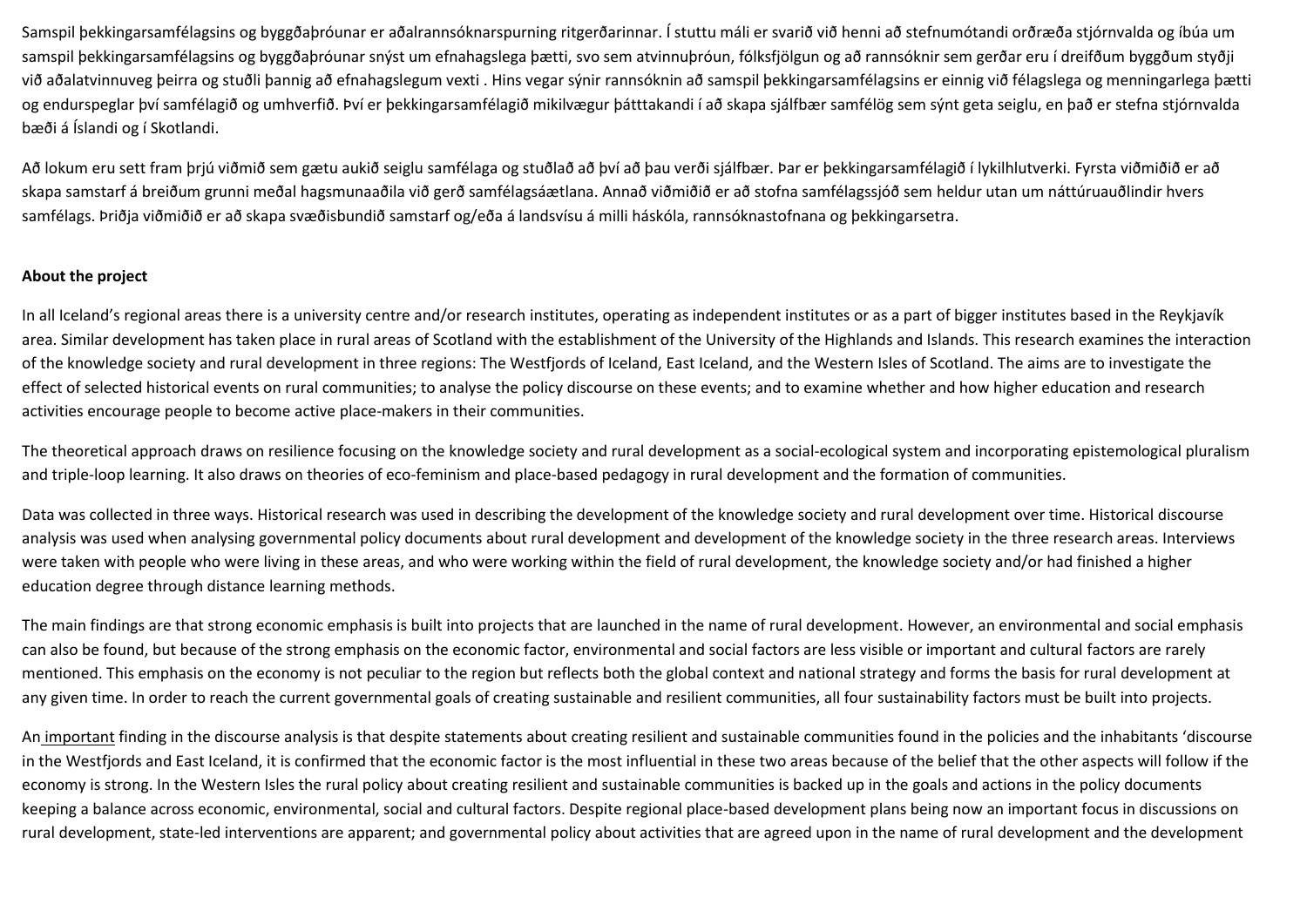Samspil þekkingarsamfélagsins og byggðaþróunar er aðalrannsóknarspurning ritgerðarinnar. Í stuttu máli er svarið við henni að stefnumótandi orðræða stjórnvalda og íbúa um samspil þekkingarsamfélagsins og byggðaþróunar snýst um efnahagslega þætti, svo sem atvinnuþróun, fólksfjölgun og að rannsóknir sem gerðar eru í dreifðum byggðum styðji við aðalatvinnuveg þeirra og stuðli þannig að efnahagslegum vexti . Hins vegar sýnir rannsóknin að samspil þekkingarsamfélagsins er einnig við félagslega og menningarlega þætti og endurspeglar því samfélagið og umhverfið. Því er þekkingarsamfélagið mikilvægur þátttakandi í að skapa sjálfbær samfélög sem sýnt geta seiglu, en það er stefna stjórnvalda bæði á Íslandi og í Skotlandi.

Að lokum eru sett fram þrjú viðmið sem gætu aukið seiglu samfélaga og stuðlað að því að þau verði sjálfbær. Þar er þekkingarsamfélagið í lykilhlutverki. Fyrsta viðmiðið er að skapa samstarf á breiðum grunni meðal hagsmunaaðila við gerð samfélagsáætlana. Annað viðmiðið er að stofna samfélagssjóð sem heldur utan um náttúruauðlindir hvers samfélags. Þriðja viðmiðið er að skapa svæðisbundið samstarf og/eða á landsvísu á milli háskóla, rannsóknastofnana og þekkingarsetra.

## **About the project**

In all Iceland's regional areas there is a university centre and/or research institutes, operating as independent institutes or as a part of bigger institutes based in the Reykjavík area. Similar development has taken place in rural areas of Scotland with the establishment of the University of the Highlands and Islands. This research examines the interaction of the knowledge society and rural development in three regions: The Westfjords of Iceland, East Iceland, and the Western Isles of Scotland. The aims are to investigate the effect of selected historical events on rural communities; to analyse the policy discourse on these events; and to examine whether and how higher education and research activities encourage people to become active place-makers in their communities.

The theoretical approach draws on resilience focusing on the knowledge society and rural development as a social-ecological system and incorporating epistemological pluralism and triple-loop learning. It also draws on theories of eco-feminism and place-based pedagogy in rural development and the formation of communities.

Data was collected in three ways. Historical research was used in describing the development of the knowledge society and rural development over time. Historical discourse analysis was used when analysing governmental policy documents about rural development and development of the knowledge society in the three research areas. Interviews were taken with people who were living in these areas, and who were working within the field of rural development, the knowledge society and/or had finished a higher education degree through distance learning methods.

The main findings are that strong economic emphasis is built into projects that are launched in the name of rural development. However, an environmental and social emphasis can also be found, but because of the strong emphasis on the economic factor, environmental and social factors are less visible or important and cultural factors are rarely mentioned. This emphasis on the economy is not peculiar to the region but reflects both the global context and national strategy and forms the basis for rural development at any given time. In order to reach the current governmental goals of creating sustainable and resilient communities, all four sustainability factors must be built into projects.

An important finding in the discourse analysis is that despite statements about creating resilient and sustainable communities found in the policies and the inhabitants 'discourse in the Westfjords and East Iceland, it is confirmed that the economic factor is the most influential in these two areas because of the belief that the other aspects will follow if the economy is strong. In the Western Isles the rural policy about creating resilient and sustainable communities is backed up in the goals and actions in the policy documents keeping a balance across economic, environmental, social and cultural factors. Despite regional place-based development plans being now an important focus in discussions on rural development, state-led interventions are apparent; and governmental policy about activities that are agreed upon in the name of rural development and the development